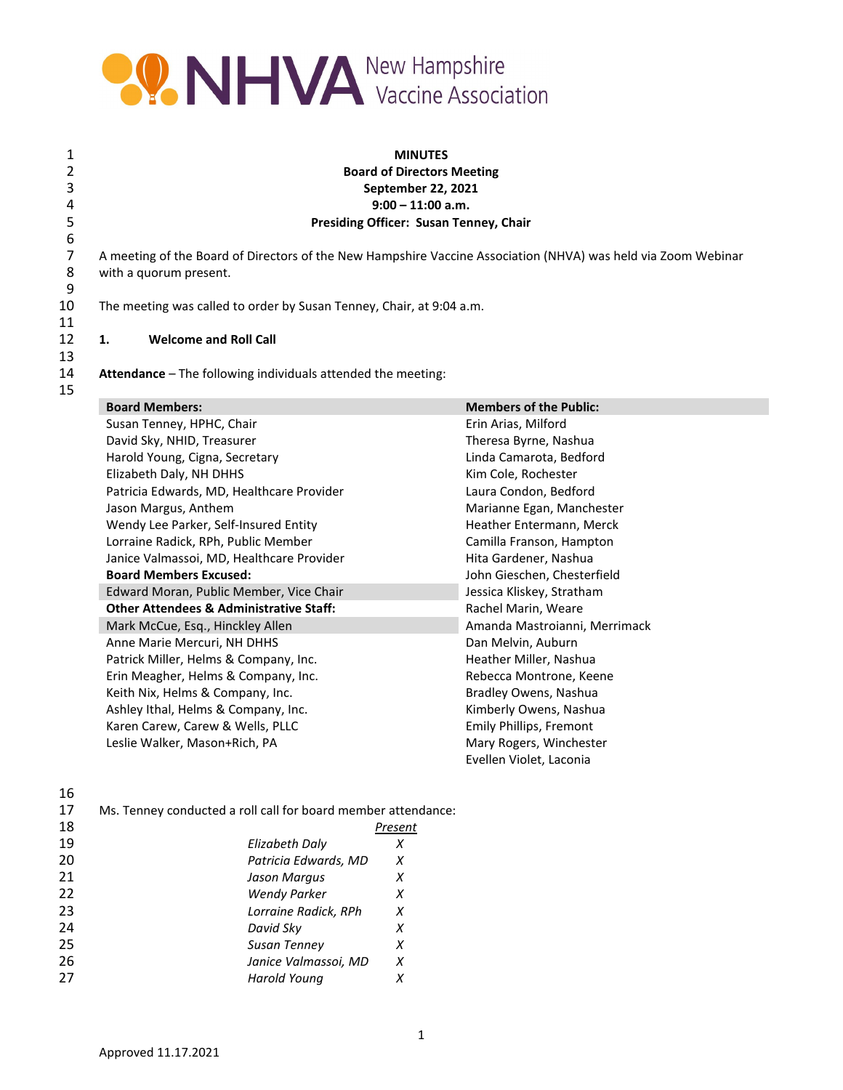

## 1 **MINUTES** 2 **Board of Directors Meeting** 3 **September 22, 2021** 4 **9:00 – 11:00 a.m.** 5 **Presiding Officer: Susan Tenney, Chair**

7 A meeting of the Board of Directors of the New Hampshire Vaccine Association (NHVA) was held via Zoom Webinar<br>8 with a quorum present. with a quorum present.

The meeting was called to order by Susan Tenney, Chair, at 9:04 a.m.

### 12 **1. Welcome and Roll Call**

Attendance – The following individuals attended the meeting:

| 13 |  |
|----|--|
| 14 |  |
| 15 |  |

6<br>7

 $\frac{9}{10}$ 

11

| <b>Board Members:</b>                              | <b>Members of the Public:</b> |
|----------------------------------------------------|-------------------------------|
| Susan Tenney, HPHC, Chair                          | Erin Arias, Milford           |
| David Sky, NHID, Treasurer                         | Theresa Byrne, Nashua         |
| Harold Young, Cigna, Secretary                     | Linda Camarota, Bedford       |
| Elizabeth Daly, NH DHHS                            | Kim Cole, Rochester           |
| Patricia Edwards, MD, Healthcare Provider          | Laura Condon, Bedford         |
| Jason Margus, Anthem                               | Marianne Egan, Manchester     |
| Wendy Lee Parker, Self-Insured Entity              | Heather Entermann, Merck      |
| Lorraine Radick, RPh, Public Member                | Camilla Franson, Hampton      |
| Janice Valmassoi, MD, Healthcare Provider          | Hita Gardener, Nashua         |
| <b>Board Members Excused:</b>                      | John Gieschen, Chesterfield   |
| Edward Moran, Public Member, Vice Chair            | Jessica Kliskey, Stratham     |
| <b>Other Attendees &amp; Administrative Staff:</b> | Rachel Marin, Weare           |
| Mark McCue, Esq., Hinckley Allen                   | Amanda Mastroianni, Merrimack |
| Anne Marie Mercuri, NH DHHS                        | Dan Melvin, Auburn            |
| Patrick Miller, Helms & Company, Inc.              | Heather Miller, Nashua        |
| Erin Meagher, Helms & Company, Inc.                | Rebecca Montrone, Keene       |
| Keith Nix, Helms & Company, Inc.                   | Bradley Owens, Nashua         |
| Ashley Ithal, Helms & Company, Inc.                | Kimberly Owens, Nashua        |
| Karen Carew, Carew & Wells, PLLC                   | Emily Phillips, Fremont       |
| Leslie Walker, Mason+Rich, PA                      | Mary Rogers, Winchester       |
|                                                    | Evellen Violet, Laconia       |

| ۰<br>I<br>٦<br>I<br>×<br>×<br>۰, |
|----------------------------------|
|----------------------------------|

ı

ľ

17 Ms. Tenney conducted a roll call for board member attendance:

| 18 |                      | Present |
|----|----------------------|---------|
| 19 | Elizabeth Daly       | х       |
| 20 | Patricia Edwards, MD | х       |
| 21 | Jason Margus         | х       |
| 22 | <b>Wendy Parker</b>  | х       |
| 23 | Lorraine Radick, RPh | x       |
| 24 | David Sky            | х       |
| 25 | Susan Tenney         | х       |
| 26 | Janice Valmassoi, MD | x       |
| 27 | Harold Young         |         |
|    |                      |         |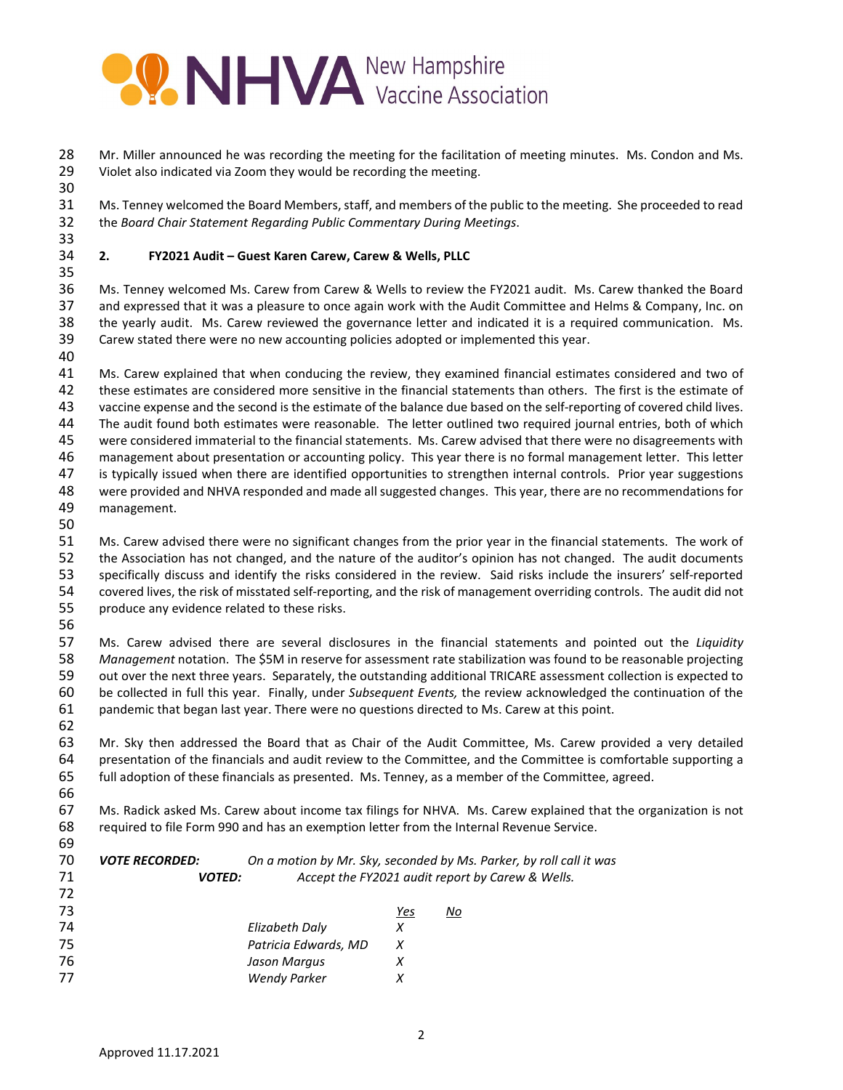

 Mr. Miller announced he was recording the meeting for the facilitation of meeting minutes. Ms. Condon and Ms. 29 Violet also indicated via Zoom they would be recording the meeting.

 Ms. Tenney welcomed the Board Members, staff, and members of the public to the meeting. She proceeded to read the *Board Chair Statement Regarding Public Commentary During Meetings*.

#### **2. FY2021 Audit – Guest Karen Carew, Carew & Wells, PLLC**

 Ms. Tenney welcomed Ms. Carew from Carew & Wells to review the FY2021 audit. Ms. Carew thanked the Board and expressed that it was a pleasure to once again work with the Audit Committee and Helms & Company, Inc. on the yearly audit. Ms. Carew reviewed the governance letter and indicated it is a required communication. Ms. Carew stated there were no new accounting policies adopted or implemented this year. 

 Ms. Carew explained that when conducing the review, they examined financial estimates considered and two of these estimates are considered more sensitive in the financial statements than others. The first is the estimate of vaccine expense and the second is the estimate of the balance due based on the self-reporting of covered child lives. The audit found both estimates were reasonable. The letter outlined two required journal entries, both of which were considered immaterial to the financial statements. Ms. Carew advised that there were no disagreements with management about presentation or accounting policy. This year there is no formal management letter. This letter 47 is typically issued when there are identified opportunities to strengthen internal controls. Prior year suggestions were provided and NHVA responded and made all suggested changes. This year, there are no recommendations for management.

 Ms. Carew advised there were no significant changes from the prior year in the financial statements. The work of the Association has not changed, and the nature of the auditor's opinion has not changed. The audit documents specifically discuss and identify the risks considered in the review. Said risks include the insurers' self-reported covered lives, the risk of misstated self-reporting, and the risk of management overriding controls. The audit did not produce any evidence related to these risks.

 Ms. Carew advised there are several disclosures in the financial statements and pointed out the *Liquidity Management* notation. The \$5M in reserve for assessment rate stabilization was found to be reasonable projecting out over the next three years. Separately, the outstanding additional TRICARE assessment collection is expected to be collected in full this year. Finally, under *Subsequent Events,* the review acknowledged the continuation of the pandemic that began last year. There were no questions directed to Ms. Carew at this point. 

 Mr. Sky then addressed the Board that as Chair of the Audit Committee, Ms. Carew provided a very detailed presentation of the financials and audit review to the Committee, and the Committee is comfortable supporting a full adoption of these financials as presented. Ms. Tenney, as a member of the Committee, agreed. 

 Ms. Radick asked Ms. Carew about income tax filings for NHVA. Ms. Carew explained that the organization is not required to file Form 990 and has an exemption letter from the Internal Revenue Service.

| 70<br>71<br>72 | <b>VOTE RECORDED:</b><br><b>VOTED:</b> |                      |     | On a motion by Mr. Sky, seconded by Ms. Parker, by roll call it was<br>Accept the FY2021 audit report by Carew & Wells. |
|----------------|----------------------------------------|----------------------|-----|-------------------------------------------------------------------------------------------------------------------------|
| 73             |                                        |                      | Yes | No                                                                                                                      |
|                |                                        |                      |     |                                                                                                                         |
| 74             |                                        | Elizabeth Daly       | х   |                                                                                                                         |
| 75             |                                        | Patricia Edwards, MD | X   |                                                                                                                         |
| 76             |                                        | Jason Margus         |     |                                                                                                                         |
| 77             |                                        | <b>Wendy Parker</b>  |     |                                                                                                                         |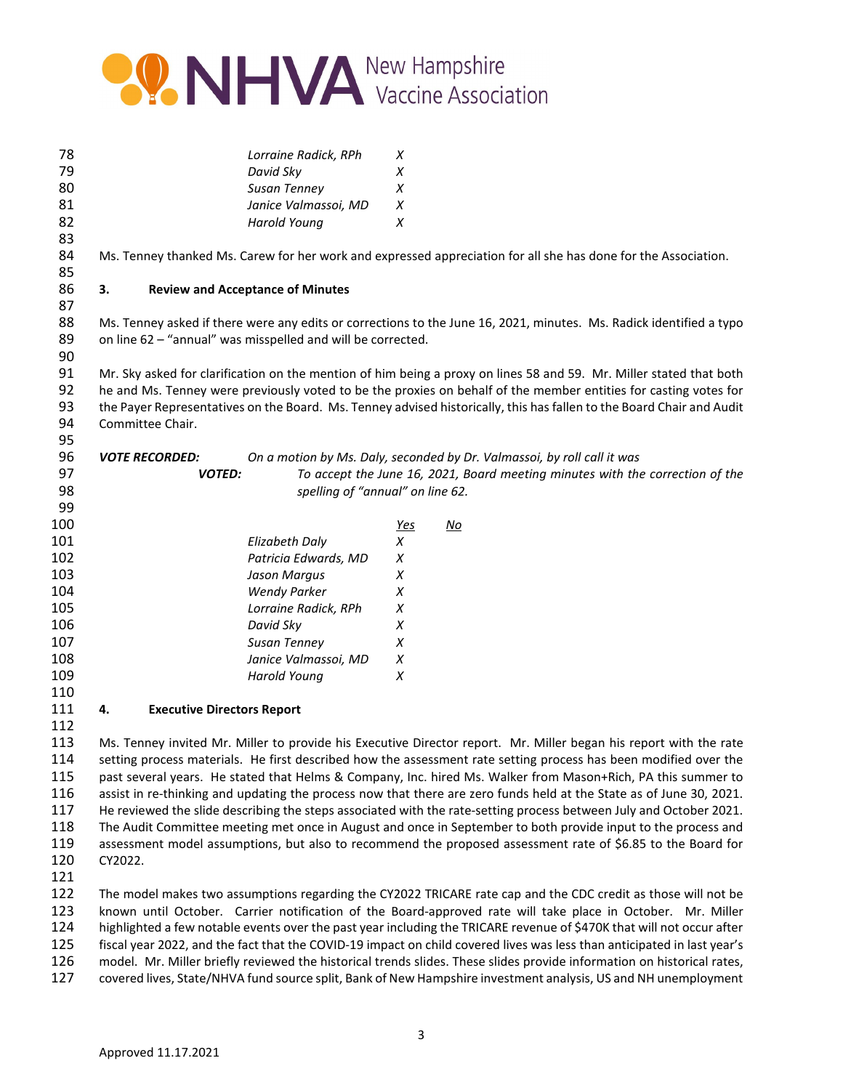

| 78  |                                         | Lorraine Radick, RPh                                        | X          |                                                                                                                       |
|-----|-----------------------------------------|-------------------------------------------------------------|------------|-----------------------------------------------------------------------------------------------------------------------|
| 79  |                                         | David Sky                                                   | X          |                                                                                                                       |
| 80  |                                         | Susan Tenney                                                | X          |                                                                                                                       |
| 81  |                                         | Janice Valmassoi, MD                                        | X          |                                                                                                                       |
| 82  |                                         | <b>Harold Young</b>                                         | X          |                                                                                                                       |
| 83  |                                         |                                                             |            |                                                                                                                       |
| 84  |                                         |                                                             |            | Ms. Tenney thanked Ms. Carew for her work and expressed appreciation for all she has done for the Association.        |
| 85  |                                         |                                                             |            |                                                                                                                       |
| 86  | 3.                                      | <b>Review and Acceptance of Minutes</b>                     |            |                                                                                                                       |
| 87  |                                         |                                                             |            |                                                                                                                       |
| 88  |                                         |                                                             |            | Ms. Tenney asked if there were any edits or corrections to the June 16, 2021, minutes. Ms. Radick identified a typo   |
| 89  |                                         | on line 62 - "annual" was misspelled and will be corrected. |            |                                                                                                                       |
| 90  |                                         |                                                             |            |                                                                                                                       |
| 91  |                                         |                                                             |            | Mr. Sky asked for clarification on the mention of him being a proxy on lines 58 and 59. Mr. Miller stated that both   |
| 92  |                                         |                                                             |            | he and Ms. Tenney were previously voted to be the proxies on behalf of the member entities for casting votes for      |
| 93  |                                         |                                                             |            | the Payer Representatives on the Board. Ms. Tenney advised historically, this has fallen to the Board Chair and Audit |
| 94  | Committee Chair.                        |                                                             |            |                                                                                                                       |
| 95  |                                         |                                                             |            |                                                                                                                       |
| 96  | <b>VOTE RECORDED:</b>                   |                                                             |            | On a motion by Ms. Daly, seconded by Dr. Valmassoi, by roll call it was                                               |
| 97  | <b>VOTED:</b>                           |                                                             |            | To accept the June 16, 2021, Board meeting minutes with the correction of the                                         |
| 98  |                                         | spelling of "annual" on line 62.                            |            |                                                                                                                       |
| 99  |                                         |                                                             |            |                                                                                                                       |
| 100 |                                         |                                                             | <u>Yes</u> | $\underline{\mathsf{No}}$                                                                                             |
| 101 |                                         | <b>Elizabeth Daly</b>                                       | X          |                                                                                                                       |
| 102 |                                         | Patricia Edwards, MD                                        | X          |                                                                                                                       |
| 103 |                                         | Jason Margus                                                | Х          |                                                                                                                       |
| 104 |                                         | <b>Wendy Parker</b>                                         | Х          |                                                                                                                       |
| 105 |                                         | Lorraine Radick, RPh                                        | X          |                                                                                                                       |
| 106 |                                         | David Sky                                                   | X          |                                                                                                                       |
| 107 |                                         | Susan Tenney                                                | X          |                                                                                                                       |
| 108 |                                         | Janice Valmassoi, MD                                        | X          |                                                                                                                       |
| 109 |                                         | <b>Harold Young</b>                                         | Х          |                                                                                                                       |
| 110 |                                         |                                                             |            |                                                                                                                       |
| 111 | 4.<br><b>Executive Directors Report</b> |                                                             |            |                                                                                                                       |
| 112 |                                         |                                                             |            |                                                                                                                       |
| 113 |                                         |                                                             |            | Ms. Tenney invited Mr. Miller to provide his Executive Director report. Mr. Miller began his report with the rate     |
| 114 |                                         |                                                             |            | setting process materials. He first described how the assessment rate setting process has been modified over the      |
| 115 |                                         |                                                             |            | past several years. He stated that Helms & Company, Inc. hired Ms. Walker from Mason+Rich, PA this summer to          |
| 116 |                                         |                                                             |            | assist in re-thinking and updating the process now that there are zero funds held at the State as of June 30, 2021.   |
| 117 |                                         |                                                             |            | He reviewed the slide describing the steps associated with the rate-setting process between July and October 2021.    |
| 118 |                                         |                                                             |            | The Audit Committee meeting met once in August and once in Sentember to both provide input to the process and         |

 The Audit Committee meeting met once in August and once in September to both provide input to the process and assessment model assumptions, but also to recommend the proposed assessment rate of \$6.85 to the Board for CY2022.

 The model makes two assumptions regarding the CY2022 TRICARE rate cap and the CDC credit as those will not be known until October. Carrier notification of the Board-approved rate will take place in October. Mr. Miller highlighted a few notable events over the past year including the TRICARE revenue of \$470K that will not occur after fiscal year 2022, and the fact that the COVID-19 impact on child covered lives was less than anticipated in last year's model. Mr. Miller briefly reviewed the historical trends slides. These slides provide information on historical rates, covered lives, State/NHVA fund source split, Bank of New Hampshire investment analysis, US and NH unemployment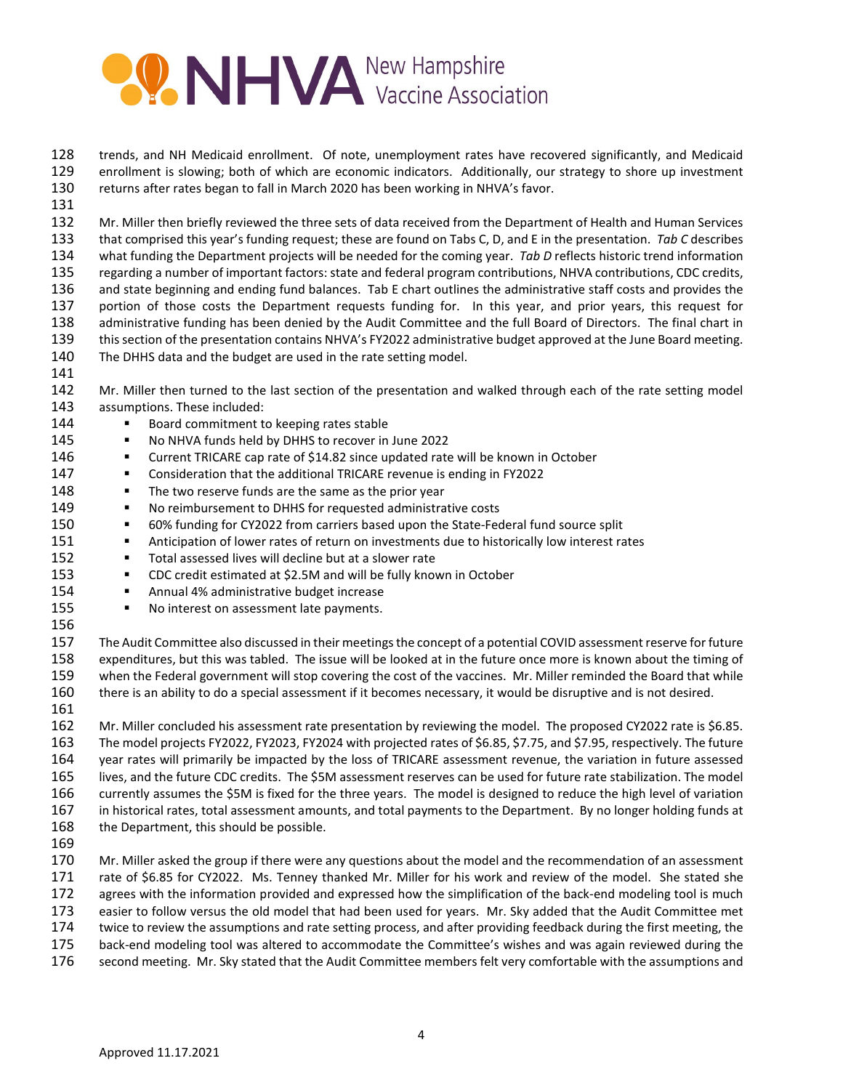

 trends, and NH Medicaid enrollment. Of note, unemployment rates have recovered significantly, and Medicaid enrollment is slowing; both of which are economic indicators. Additionally, our strategy to shore up investment returns after rates began to fall in March 2020 has been working in NHVA's favor.

 Mr. Miller then briefly reviewed the three sets of data received from the Department of Health and Human Services that comprised this year's funding request; these are found on Tabs C, D, and E in the presentation. *Tab C* describes what funding the Department projects will be needed for the coming year. *Tab D* reflects historic trend information regarding a number of important factors: state and federal program contributions, NHVA contributions, CDC credits, and state beginning and ending fund balances. Tab E chart outlines the administrative staff costs and provides the portion of those costs the Department requests funding for. In this year, and prior years, this request for administrative funding has been denied by the Audit Committee and the full Board of Directors. The final chart in this section of the presentation contains NHVA's FY2022 administrative budget approved at the June Board meeting. The DHHS data and the budget are used in the rate setting model.

- 
- 142 Mr. Miller then turned to the last section of the presentation and walked through each of the rate setting model assumptions. These included:
- **Board commitment to keeping rates stable**
- 145 No NHVA funds held by DHHS to recover in June 2022
- Current TRICARE cap rate of \$14.82 since updated rate will be known in October
- 147 Consideration that the additional TRICARE revenue is ending in FY2022
- 148 The two reserve funds are the same as the prior year
- 149 No reimbursement to DHHS for requested administrative costs
- 60% funding for CY2022 from carriers based upon the State-Federal fund source split
- 151 Anticipation of lower rates of return on investments due to historically low interest rates
- **Total assessed lives will decline but at a slower rate**
- CDC credit estimated at \$2.5M and will be fully known in October
- **Annual 4% administrative budget increase**
- 155 No interest on assessment late payments.
- 

 The Audit Committee also discussed in their meetings the concept of a potential COVID assessment reserve for future expenditures, but this was tabled. The issue will be looked at in the future once more is known about the timing of when the Federal government will stop covering the cost of the vaccines. Mr. Miller reminded the Board that while there is an ability to do a special assessment if it becomes necessary, it would be disruptive and is not desired.

 Mr. Miller concluded his assessment rate presentation by reviewing the model. The proposed CY2022 rate is \$6.85. The model projects FY2022, FY2023, FY2024 with projected rates of \$6.85, \$7.75, and \$7.95, respectively. The future year rates will primarily be impacted by the loss of TRICARE assessment revenue, the variation in future assessed lives, and the future CDC credits. The \$5M assessment reserves can be used for future rate stabilization. The model currently assumes the \$5M is fixed for the three years. The model is designed to reduce the high level of variation in historical rates, total assessment amounts, and total payments to the Department. By no longer holding funds at 168 the Department, this should be possible.

170 Mr. Miller asked the group if there were any questions about the model and the recommendation of an assessment rate of \$6.85 for CY2022. Ms. Tenney thanked Mr. Miller for his work and review of the model. She stated she agrees with the information provided and expressed how the simplification of the back-end modeling tool is much easier to follow versus the old model that had been used for years. Mr. Sky added that the Audit Committee met

- twice to review the assumptions and rate setting process, and after providing feedback during the first meeting, the
- back-end modeling tool was altered to accommodate the Committee's wishes and was again reviewed during the second meeting. Mr. Sky stated that the Audit Committee members felt very comfortable with the assumptions and
	- Approved 11.17.2021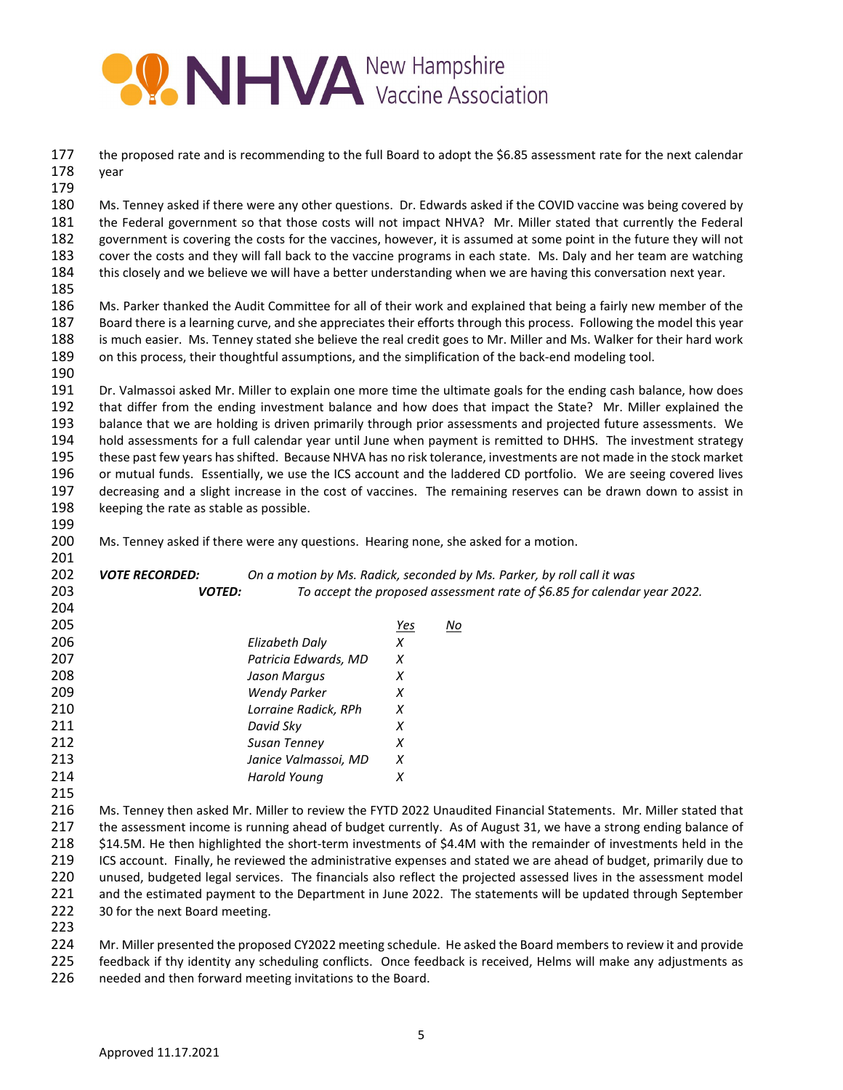

 the proposed rate and is recommending to the full Board to adopt the \$6.85 assessment rate for the next calendar year

 Ms. Tenney asked if there were any other questions. Dr. Edwards asked if the COVID vaccine was being covered by the Federal government so that those costs will not impact NHVA? Mr. Miller stated that currently the Federal government is covering the costs for the vaccines, however, it is assumed at some point in the future they will not cover the costs and they will fall back to the vaccine programs in each state. Ms. Daly and her team are watching this closely and we believe we will have a better understanding when we are having this conversation next year.

 Ms. Parker thanked the Audit Committee for all of their work and explained that being a fairly new member of the Board there is a learning curve, and she appreciates their efforts through this process. Following the model this year is much easier. Ms. Tenney stated she believe the real credit goes to Mr. Miller and Ms. Walker for their hard work on this process, their thoughtful assumptions, and the simplification of the back-end modeling tool.

 Dr. Valmassoi asked Mr. Miller to explain one more time the ultimate goals for the ending cash balance, how does that differ from the ending investment balance and how does that impact the State? Mr. Miller explained the balance that we are holding is driven primarily through prior assessments and projected future assessments. We hold assessments for a full calendar year until June when payment is remitted to DHHS. The investment strategy these past few years has shifted. Because NHVA has no risk tolerance, investments are not made in the stock market or mutual funds. Essentially, we use the ICS account and the laddered CD portfolio. We are seeing covered lives decreasing and a slight increase in the cost of vaccines. The remaining reserves can be drawn down to assist in 198 keeping the rate as stable as possible.

Ms. Tenney asked if there were any questions. Hearing none, she asked for a motion.

| 202 | <b>VOTE RECORDED:</b> |                      |            | On a motion by Ms. Radick, seconded by Ms. Parker, by roll call it was   |
|-----|-----------------------|----------------------|------------|--------------------------------------------------------------------------|
| 203 | <b>VOTED:</b>         |                      |            | To accept the proposed assessment rate of \$6.85 for calendar year 2022. |
| 204 |                       |                      |            |                                                                          |
| 205 |                       |                      | <u>Yes</u> | <u>No</u>                                                                |
| 206 |                       | Elizabeth Daly       | X          |                                                                          |
| 207 |                       | Patricia Edwards, MD | X          |                                                                          |
| 208 |                       | Jason Margus         | X          |                                                                          |
| 209 |                       | <b>Wendy Parker</b>  | X          |                                                                          |
| 210 |                       | Lorraine Radick, RPh | X          |                                                                          |
| 211 |                       | David Sky            | X          |                                                                          |
| 212 |                       | Susan Tenney         | X          |                                                                          |
| 213 |                       | Janice Valmassoi, MD | X          |                                                                          |
| 214 |                       | Harold Young         | X          |                                                                          |
| 215 |                       |                      |            |                                                                          |

 Ms. Tenney then asked Mr. Miller to review the FYTD 2022 Unaudited Financial Statements. Mr. Miller stated that the assessment income is running ahead of budget currently. As of August 31, we have a strong ending balance of \$14.5M. He then highlighted the short-term investments of \$4.4M with the remainder of investments held in the ICS account. Finally, he reviewed the administrative expenses and stated we are ahead of budget, primarily due to unused, budgeted legal services. The financials also reflect the projected assessed lives in the assessment model and the estimated payment to the Department in June 2022. The statements will be updated through September 30 for the next Board meeting.

 Mr. Miller presented the proposed CY2022 meeting schedule. He asked the Board members to review it and provide feedback if thy identity any scheduling conflicts. Once feedback is received, Helms will make any adjustments as needed and then forward meeting invitations to the Board.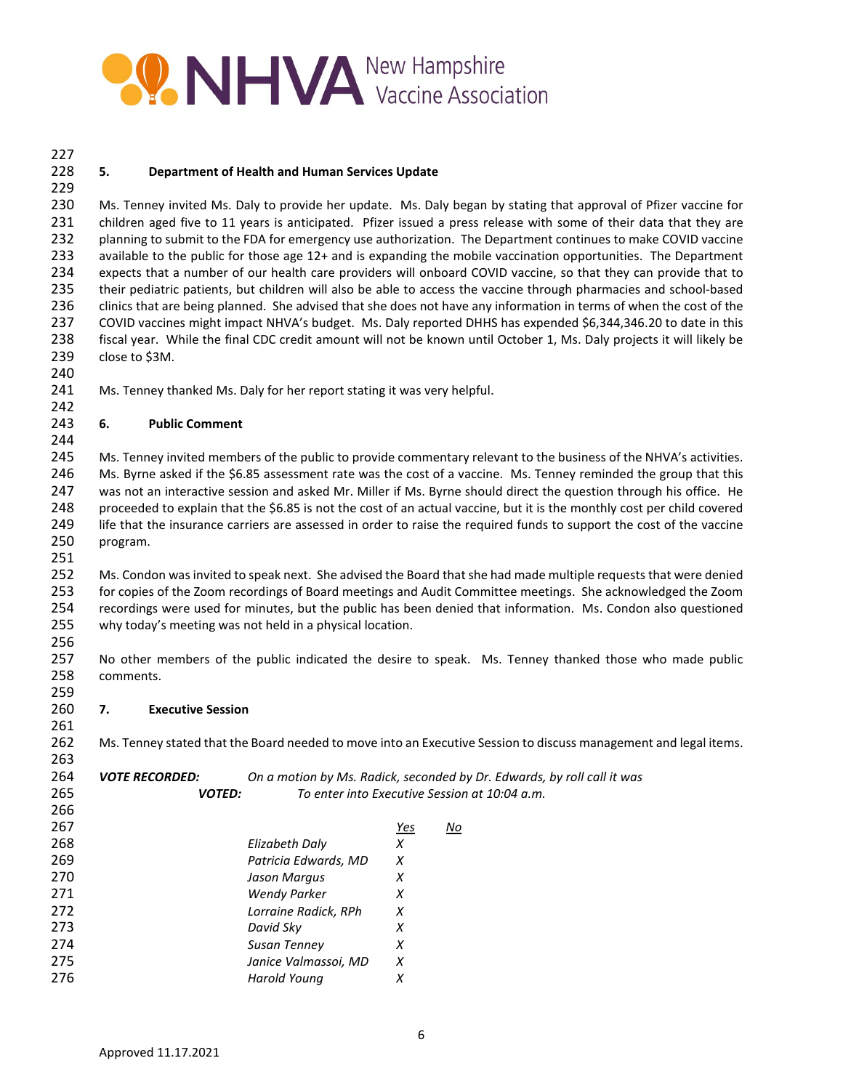# **PONHYA** New Hampshire

#### **5. Department of Health and Human Services Update**

 Ms. Tenney invited Ms. Daly to provide her update. Ms. Daly began by stating that approval of Pfizer vaccine for children aged five to 11 years is anticipated. Pfizer issued a press release with some of their data that they are planning to submit to the FDA for emergency use authorization. The Department continues to make COVID vaccine available to the public for those age 12+ and is expanding the mobile vaccination opportunities. The Department expects that a number of our health care providers will onboard COVID vaccine, so that they can provide that to their pediatric patients, but children will also be able to access the vaccine through pharmacies and school-based clinics that are being planned. She advised that she does not have any information in terms of when the cost of the COVID vaccines might impact NHVA's budget. Ms. Daly reported DHHS has expended \$6,344,346.20 to date in this fiscal year. While the final CDC credit amount will not be known until October 1, Ms. Daly projects it will likely be close to \$3M.

241 Ms. Tenney thanked Ms. Daly for her report stating it was very helpful.

#### **6. Public Comment**

 Ms. Tenney invited members of the public to provide commentary relevant to the business of the NHVA's activities. Ms. Byrne asked if the \$6.85 assessment rate was the cost of a vaccine. Ms. Tenney reminded the group that this was not an interactive session and asked Mr. Miller if Ms. Byrne should direct the question through his office. He proceeded to explain that the \$6.85 is not the cost of an actual vaccine, but it is the monthly cost per child covered life that the insurance carriers are assessed in order to raise the required funds to support the cost of the vaccine program.

 Ms. Condon was invited to speak next. She advised the Board that she had made multiple requests that were denied for copies of the Zoom recordings of Board meetings and Audit Committee meetings. She acknowledged the Zoom recordings were used for minutes, but the public has been denied that information. Ms. Condon also questioned why today's meeting was not held in a physical location.

 No other members of the public indicated the desire to speak. Ms. Tenney thanked those who made public comments.

**7. Executive Session**

Ms. Tenney stated that the Board needed to move into an Executive Session to discuss management and legal items.

| 264 | <b>VOTE RECORDED:</b> |                      |     | On a motion by Ms. Radick, seconded by Dr. Edwards, by roll call it was |
|-----|-----------------------|----------------------|-----|-------------------------------------------------------------------------|
| 265 | <b>VOTED:</b>         |                      |     | To enter into Executive Session at 10:04 a.m.                           |
| 266 |                       |                      |     |                                                                         |
| 267 |                       |                      | Yes | No                                                                      |
| 268 |                       | Elizabeth Daly       | X   |                                                                         |
| 269 |                       | Patricia Edwards, MD | X   |                                                                         |
| 270 |                       | Jason Margus         | X   |                                                                         |
| 271 |                       | <b>Wendy Parker</b>  | X   |                                                                         |
| 272 |                       | Lorraine Radick, RPh | X   |                                                                         |
| 273 |                       | David Sky            | X   |                                                                         |
| 274 |                       | Susan Tenney         | X   |                                                                         |
| 275 |                       | Janice Valmassoi, MD | X   |                                                                         |
| 276 |                       | Harold Young         | X   |                                                                         |
|     |                       |                      |     |                                                                         |